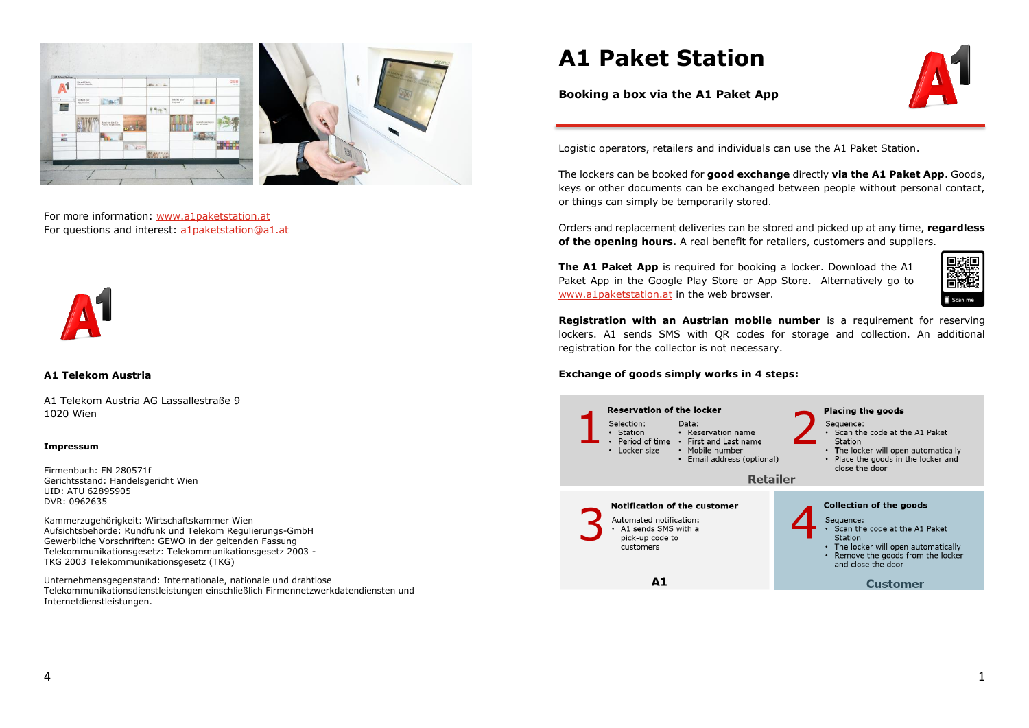

For more information: [www.a1paketstation.at](http://www.a1paketstation.at/) For questions and interest[: a1paketstation@a1.at](mailto:a1paketstation@a1.at)



## **A1 Telekom Austria**

A1 Telekom Austria AG Lassallestraße 9 1020 Wien

#### **Impressum**

Firmenbuch: FN 280571f Gerichtsstand: Handelsgericht Wien UID: ATU 62895905 DVR: 0962635

Kammerzugehörigkeit: Wirtschaftskammer Wien Aufsichtsbehörde: Rundfunk und Telekom Regulierungs-GmbH Gewerbliche Vorschriften: GEWO in der geltenden Fassung Telekommunikationsgesetz: Telekommunikationsgesetz 2003 - TKG 2003 Telekommunikationsgesetz (TKG)

Unternehmensgegenstand: Internationale, nationale und drahtlose Telekommunikationsdienstleistungen einschließlich Firmennetzwerkdatendiensten und Internetdienstleistungen.

# **A1 Paket Station**



**Booking a box via the A1 Paket App**

Logistic operators, retailers and individuals can use the A1 Paket Station.

The lockers can be booked for **good exchange** directly **via the A1 Paket App**. Goods, keys or other documents can be exchanged between people without personal contact, or things can simply be temporarily stored.

Orders and replacement deliveries can be stored and picked up at any time, **regardless of the opening hours.** A real benefit for retailers, customers and suppliers.

**The A1 Paket App** is required for booking a locker. Download the A1 Paket App in the Google Play Store or App Store. Alternatively go to [www.a1paketstation.at](http://www.a1paketstation.at/) in the web browser.



**Registration with an Austrian mobile number** is a requirement for reserving lockers. A1 sends SMS with QR codes for storage and collection. An additional registration for the collector is not necessary.

### **Exchange of goods simply works in 4 steps:**